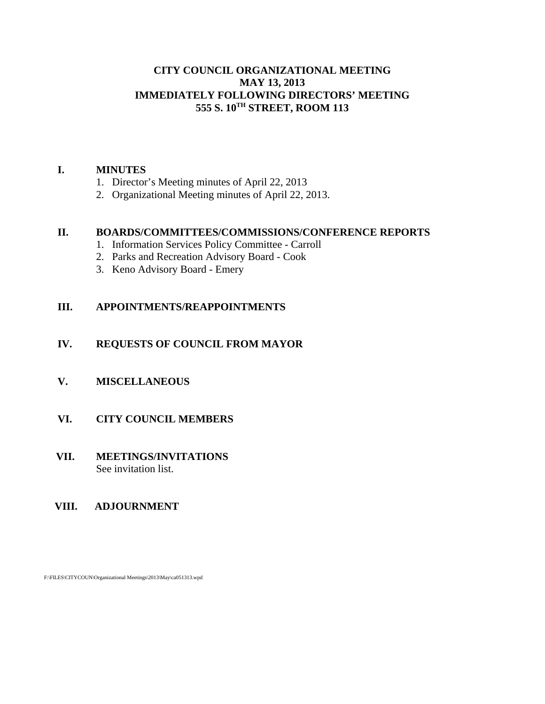### **CITY COUNCIL ORGANIZATIONAL MEETING MAY 13, 2013 IMMEDIATELY FOLLOWING DIRECTORS' MEETING 555 S. 10TH STREET, ROOM 113**

#### **I. MINUTES**

- 1. Director's Meeting minutes of April 22, 2013
- 2. Organizational Meeting minutes of April 22, 2013.

#### **II. BOARDS/COMMITTEES/COMMISSIONS/CONFERENCE REPORTS**

- 1. Information Services Policy Committee Carroll
- 2. Parks and Recreation Advisory Board Cook
- 3. Keno Advisory Board Emery

#### **III. APPOINTMENTS/REAPPOINTMENTS**

#### **IV. REQUESTS OF COUNCIL FROM MAYOR**

**V. MISCELLANEOUS**

#### **VI. CITY COUNCIL MEMBERS**

### **VII. MEETINGS/INVITATIONS** See invitation list.

#### **VIII. ADJOURNMENT**

F:\FILES\CITYCOUN\Organizational Meetings\2013\May\ca051313.wpd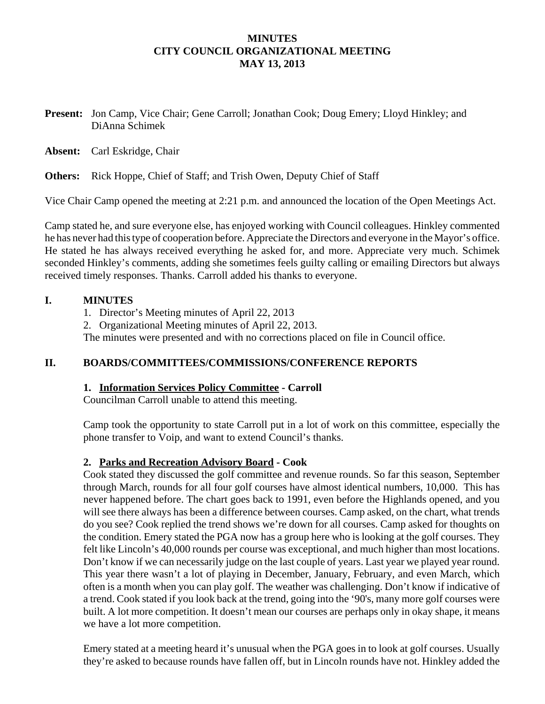### **MINUTES CITY COUNCIL ORGANIZATIONAL MEETING MAY 13, 2013**

- **Present:** Jon Camp, Vice Chair; Gene Carroll; Jonathan Cook; Doug Emery; Lloyd Hinkley; and DiAnna Schimek
- **Absent:** Carl Eskridge, Chair

**Others:** Rick Hoppe, Chief of Staff; and Trish Owen, Deputy Chief of Staff

Vice Chair Camp opened the meeting at 2:21 p.m. and announced the location of the Open Meetings Act.

Camp stated he, and sure everyone else, has enjoyed working with Council colleagues. Hinkley commented he has never had this type of cooperation before. Appreciate the Directors and everyone in the Mayor's office. He stated he has always received everything he asked for, and more. Appreciate very much. Schimek seconded Hinkley's comments, adding she sometimes feels guilty calling or emailing Directors but always received timely responses. Thanks. Carroll added his thanks to everyone.

### **I. MINUTES**

- 1. Director's Meeting minutes of April 22, 2013
- 2. Organizational Meeting minutes of April 22, 2013.

The minutes were presented and with no corrections placed on file in Council office.

### **II. BOARDS/COMMITTEES/COMMISSIONS/CONFERENCE REPORTS**

### **1. Information Services Policy Committee - Carroll**

Councilman Carroll unable to attend this meeting.

Camp took the opportunity to state Carroll put in a lot of work on this committee, especially the phone transfer to Voip, and want to extend Council's thanks.

### **2. Parks and Recreation Advisory Board - Cook**

Cook stated they discussed the golf committee and revenue rounds. So far this season, September through March, rounds for all four golf courses have almost identical numbers, 10,000. This has never happened before. The chart goes back to 1991, even before the Highlands opened, and you will see there always has been a difference between courses. Camp asked, on the chart, what trends do you see? Cook replied the trend shows we're down for all courses. Camp asked for thoughts on the condition. Emery stated the PGA now has a group here who is looking at the golf courses. They felt like Lincoln's 40,000 rounds per course was exceptional, and much higher than most locations. Don't know if we can necessarily judge on the last couple of years. Last year we played year round. This year there wasn't a lot of playing in December, January, February, and even March, which often is a month when you can play golf. The weather was challenging. Don't know if indicative of a trend. Cook stated if you look back at the trend, going into the '90's, many more golf courses were built. A lot more competition. It doesn't mean our courses are perhaps only in okay shape, it means we have a lot more competition.

Emery stated at a meeting heard it's unusual when the PGA goes in to look at golf courses. Usually they're asked to because rounds have fallen off, but in Lincoln rounds have not. Hinkley added the